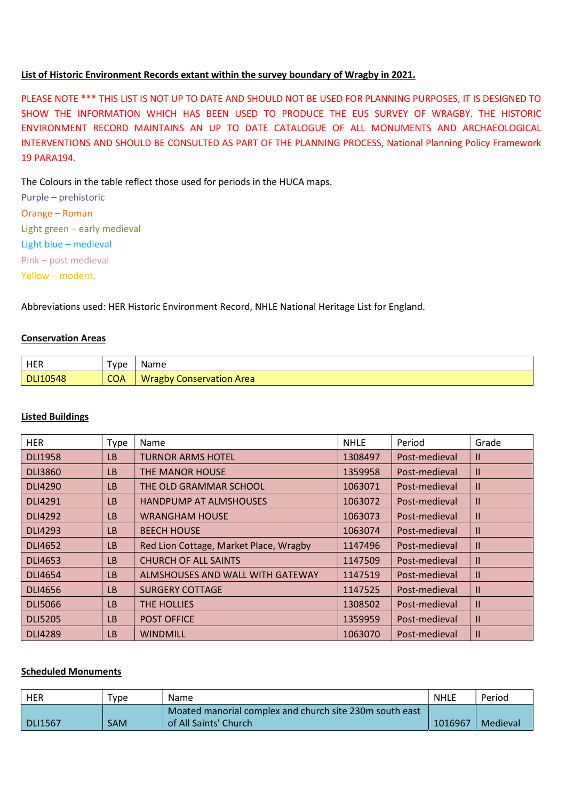## List of Historic Environment Records extant within the survey boundary of Wragby in 2021.

PLEASE NOTE \*\*\* THIS LIST IS NOT UP TO DATE AND SHOULD NOT BE USED FOR PLANNING PURPOSES, IT IS DESIGNED TO SHOW THE INFORMATION WHICH HAS BEEN USED TO PRODUCE THE EUS SURVEY OF WRAGBY. THE HISTORIC ENVIRONMENT RECORD MAINTAINS AN UP TO DATE CATALOGUE OF ALL MONUMENTS AND ARCHAEOLOGICAL INTERVENTIONS AND SHOULD BE CONSULTED AS PART OF THE PLANNING PROCESS, National Planning Policy Framework 19 PARA194.

The Colours in the table reflect those used for periods in the HUCA maps.

| Purple - prehistoric         |
|------------------------------|
| Orange – Roman               |
| Light green - early medieval |
| Light blue - medieval        |
| Pink - post medieval         |
| Yellow - modern.             |

Abbreviations used: HER Historic Environment Record, NHLE National Heritage List for England.

### Conservation Areas

| HER             | 'vpe       | Name                            |
|-----------------|------------|---------------------------------|
| <b>DLI10548</b> | <b>COA</b> | <b>Wragby Conservation Area</b> |

## Listed Buildings

| <b>HER</b>     | Type      | Name                                   | <b>NHLE</b> | Period        | Grade        |
|----------------|-----------|----------------------------------------|-------------|---------------|--------------|
| <b>DLI1958</b> | LB        | <b>TURNOR ARMS HOTEL</b>               | 1308497     | Post-medieval | $\mathbf{I}$ |
| <b>DLI3860</b> | <b>LB</b> | THE MANOR HOUSE                        | 1359958     | Post-medieval | $\mathbf{I}$ |
| <b>DLI4290</b> | <b>LB</b> | THE OLD GRAMMAR SCHOOL                 | 1063071     | Post-medieval | $\mathbf{I}$ |
| <b>DLI4291</b> | <b>LB</b> | <b>HANDPUMP AT ALMSHOUSES</b>          | 1063072     | Post-medieval | $\mathbf{I}$ |
| <b>DLI4292</b> | LB        | <b>WRANGHAM HOUSE</b>                  | 1063073     | Post-medieval | $\mathbf{I}$ |
| DLI4293        | <b>LB</b> | <b>BEECH HOUSE</b>                     | 1063074     | Post-medieval | $\mathbf{I}$ |
| <b>DLI4652</b> | <b>LB</b> | Red Lion Cottage, Market Place, Wragby | 1147496     | Post-medieval | $\mathbf{H}$ |
| DLI4653        | <b>LB</b> | <b>CHURCH OF ALL SAINTS</b>            | 1147509     | Post-medieval | $\mathbf{H}$ |
| <b>DLI4654</b> | <b>LB</b> | ALMSHOUSES AND WALL WITH GATEWAY       | 1147519     | Post-medieval | $\mathbf{I}$ |
| <b>DLI4656</b> | <b>LB</b> | <b>SURGERY COTTAGE</b>                 | 1147525     | Post-medieval | $\mathbf{H}$ |
| <b>DLI5066</b> | <b>LB</b> | THE HOLLIES                            | 1308502     | Post-medieval | $\mathbf{I}$ |
| <b>DLI5205</b> | LB        | <b>POST OFFICE</b>                     | 1359959     | Post-medieval | $\mathbf{I}$ |
| <b>DLI4289</b> | LB        | <b>WINDMILL</b>                        | 1063070     | Post-medieval | $\mathbf{H}$ |

#### Scheduled Monuments

| <b>HER</b> | Type | Name                                                    | <b>NHLE</b> | Period   |
|------------|------|---------------------------------------------------------|-------------|----------|
|            |      | Moated manorial complex and church site 230m south east |             |          |
| DLI1567    | SAM  | of All Saints' Church                                   | 1016967     | Medieval |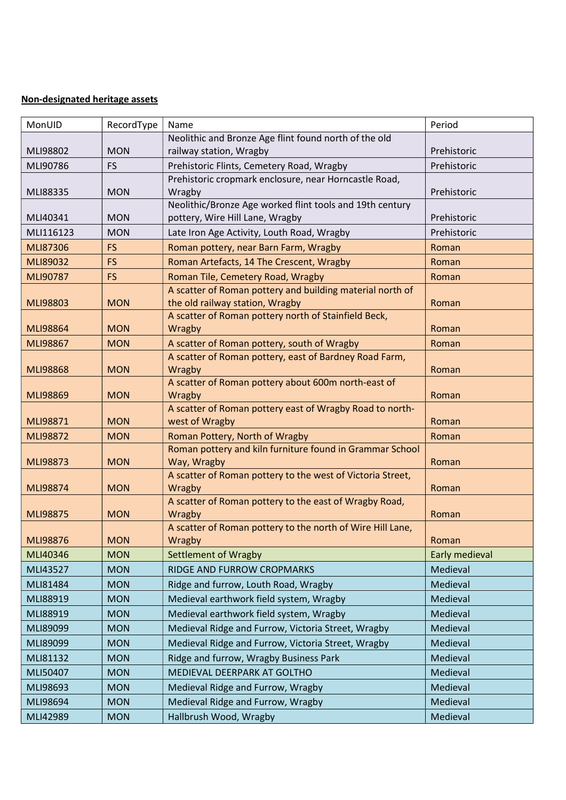# Non-designated heritage assets

| MonUID          | RecordType | Name                                                                       | Period         |
|-----------------|------------|----------------------------------------------------------------------------|----------------|
|                 |            | Neolithic and Bronze Age flint found north of the old                      |                |
| MLI98802        | <b>MON</b> | railway station, Wragby                                                    | Prehistoric    |
| MLI90786        | <b>FS</b>  | Prehistoric Flints, Cemetery Road, Wragby                                  | Prehistoric    |
|                 |            | Prehistoric cropmark enclosure, near Horncastle Road,                      |                |
| MLI88335        | <b>MON</b> | Wragby                                                                     | Prehistoric    |
|                 |            | Neolithic/Bronze Age worked flint tools and 19th century                   |                |
| MLI40341        | <b>MON</b> | pottery, Wire Hill Lane, Wragby                                            | Prehistoric    |
| MLI116123       | <b>MON</b> | Late Iron Age Activity, Louth Road, Wragby                                 | Prehistoric    |
| MLI87306        | <b>FS</b>  | Roman pottery, near Barn Farm, Wragby                                      | Roman          |
| MLI89032        | <b>FS</b>  | Roman Artefacts, 14 The Crescent, Wragby                                   | Roman          |
| MLI90787        | <b>FS</b>  | Roman Tile, Cemetery Road, Wragby                                          | Roman          |
|                 |            | A scatter of Roman pottery and building material north of                  |                |
| MLI98803        | <b>MON</b> | the old railway station, Wragby                                            | Roman          |
|                 |            | A scatter of Roman pottery north of Stainfield Beck,                       |                |
| <b>MLI98864</b> | <b>MON</b> | <b>Wragby</b>                                                              | Roman          |
| MLI98867        | <b>MON</b> | A scatter of Roman pottery, south of Wragby                                | Roman          |
|                 |            | A scatter of Roman pottery, east of Bardney Road Farm,                     |                |
| <b>MLI98868</b> | <b>MON</b> | Wragby                                                                     | Roman          |
|                 |            | A scatter of Roman pottery about 600m north-east of                        |                |
| MLI98869        | <b>MON</b> | Wragby                                                                     | Roman          |
| MLI98871        | <b>MON</b> | A scatter of Roman pottery east of Wragby Road to north-<br>west of Wragby | Roman          |
| MLI98872        | <b>MON</b> | Roman Pottery, North of Wragby                                             | Roman          |
|                 |            | Roman pottery and kiln furniture found in Grammar School                   |                |
| MLI98873        | <b>MON</b> | Way, Wragby                                                                | Roman          |
|                 |            | A scatter of Roman pottery to the west of Victoria Street,                 |                |
| MLI98874        | <b>MON</b> | Wragby                                                                     | Roman          |
|                 |            | A scatter of Roman pottery to the east of Wragby Road,                     |                |
| <b>MLI98875</b> | <b>MON</b> | Wragby                                                                     | Roman          |
|                 |            | A scatter of Roman pottery to the north of Wire Hill Lane,                 |                |
| MLI98876        | <b>MON</b> | Wragby                                                                     | Roman          |
| MLI40346        | <b>MON</b> | <b>Settlement of Wragby</b>                                                | Early medieval |
| MLI43527        | <b>MON</b> | RIDGE AND FURROW CROPMARKS                                                 | Medieval       |
| MLI81484        | <b>MON</b> | Ridge and furrow, Louth Road, Wragby                                       | Medieval       |
| MLI88919        | <b>MON</b> | Medieval earthwork field system, Wragby                                    | Medieval       |
| MLI88919        | <b>MON</b> | Medieval earthwork field system, Wragby                                    | Medieval       |
| MLI89099        | <b>MON</b> | Medieval Ridge and Furrow, Victoria Street, Wragby                         | Medieval       |
| MLI89099        | <b>MON</b> | Medieval Ridge and Furrow, Victoria Street, Wragby                         | Medieval       |
| MLI81132        | <b>MON</b> | Ridge and furrow, Wragby Business Park                                     | Medieval       |
| MLI50407        | <b>MON</b> | MEDIEVAL DEERPARK AT GOLTHO                                                | Medieval       |
|                 |            |                                                                            |                |
| MLI98693        | <b>MON</b> | Medieval Ridge and Furrow, Wragby                                          | Medieval       |
| MLI98694        | <b>MON</b> | Medieval Ridge and Furrow, Wragby                                          | Medieval       |
| MLI42989        | <b>MON</b> | Hallbrush Wood, Wragby                                                     | Medieval       |